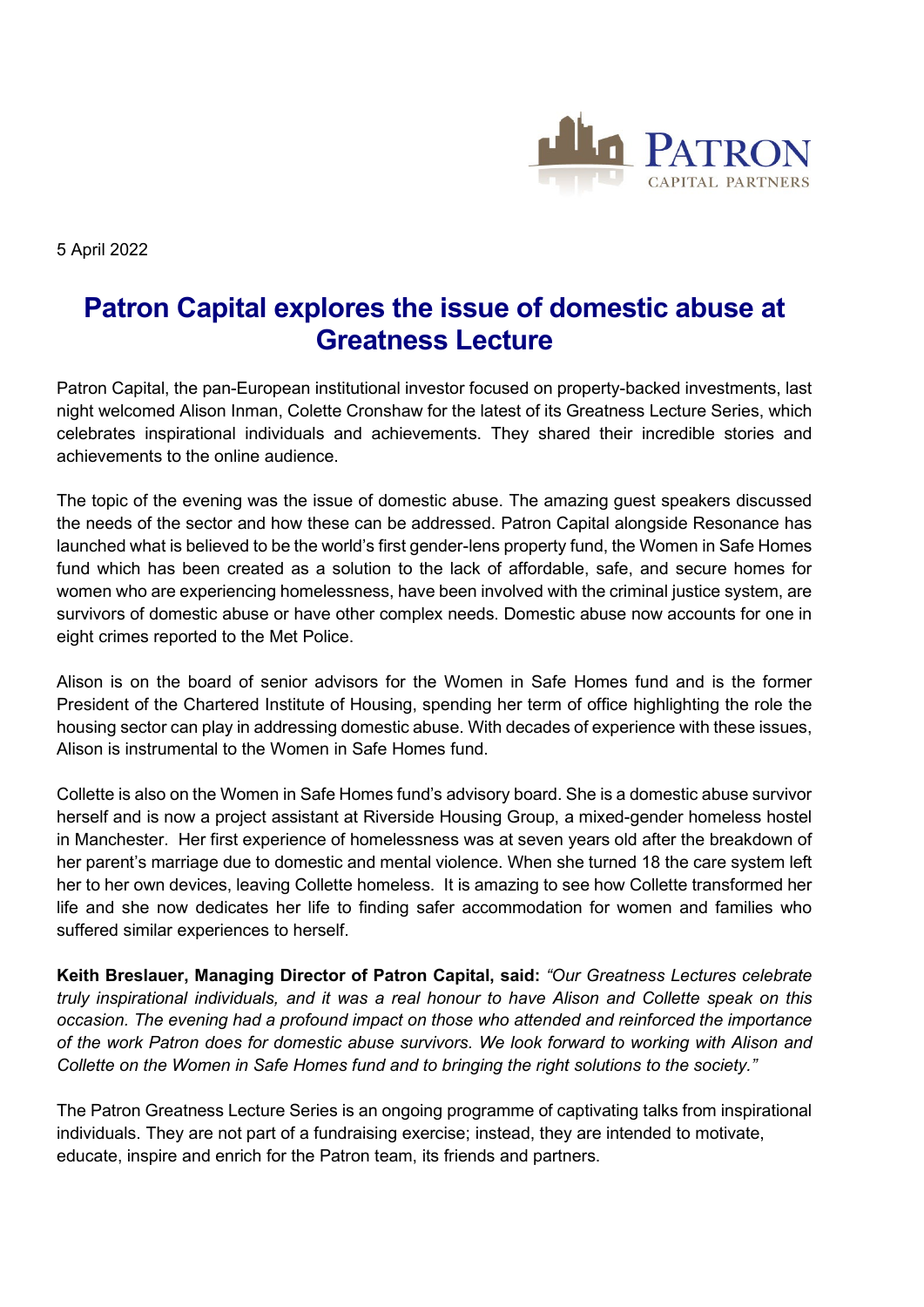

5 April 2022

## **Patron Capital explores the issue of domestic abuse at Greatness Lecture**

Patron Capital, the pan-European institutional investor focused on property-backed investments, last night welcomed Alison Inman, Colette Cronshaw for the latest of its Greatness Lecture Series, which celebrates inspirational individuals and achievements. They shared their incredible stories and achievements to the online audience.

The topic of the evening was the issue of domestic abuse. The amazing guest speakers discussed the needs of the sector and how these can be addressed. Patron Capital alongside Resonance has launched what is believed to be the world's first gender-lens property fund, the Women in Safe Homes fund which has been created as a solution to the lack of affordable, safe, and secure homes for women who are experiencing homelessness, have been involved with the criminal justice system, are survivors of domestic abuse or have other complex needs. Domestic abuse now accounts for one in eight crimes reported to the Met Police.

Alison is on the board of senior advisors for the Women in Safe Homes fund and is the former President of the Chartered Institute of Housing, spending her term of office highlighting the role the housing sector can play in addressing domestic abuse. With decades of experience with these issues, Alison is instrumental to the Women in Safe Homes fund.

Collette is also on the Women in Safe Homes fund's advisory board. She is a domestic abuse survivor herself and is now a project assistant at Riverside Housing Group, a mixed-gender homeless hostel in Manchester. Her first experience of homelessness was at seven years old after the breakdown of her parent's marriage due to domestic and mental violence. When she turned 18 the care system left her to her own devices, leaving Collette homeless. It is amazing to see how Collette transformed her life and she now dedicates her life to finding safer accommodation for women and families who suffered similar experiences to herself.

**Keith Breslauer, Managing Director of Patron Capital, said:** *"Our Greatness Lectures celebrate truly inspirational individuals, and it was a real honour to have Alison and Collette speak on this occasion. The evening had a profound impact on those who attended and reinforced the importance of the work Patron does for domestic abuse survivors. We look forward to working with Alison and Collette on the Women in Safe Homes fund and to bringing the right solutions to the society."*

The Patron Greatness Lecture Series is an ongoing programme of captivating talks from inspirational individuals. They are not part of a fundraising exercise; instead, they are intended to motivate, educate, inspire and enrich for the Patron team, its friends and partners.